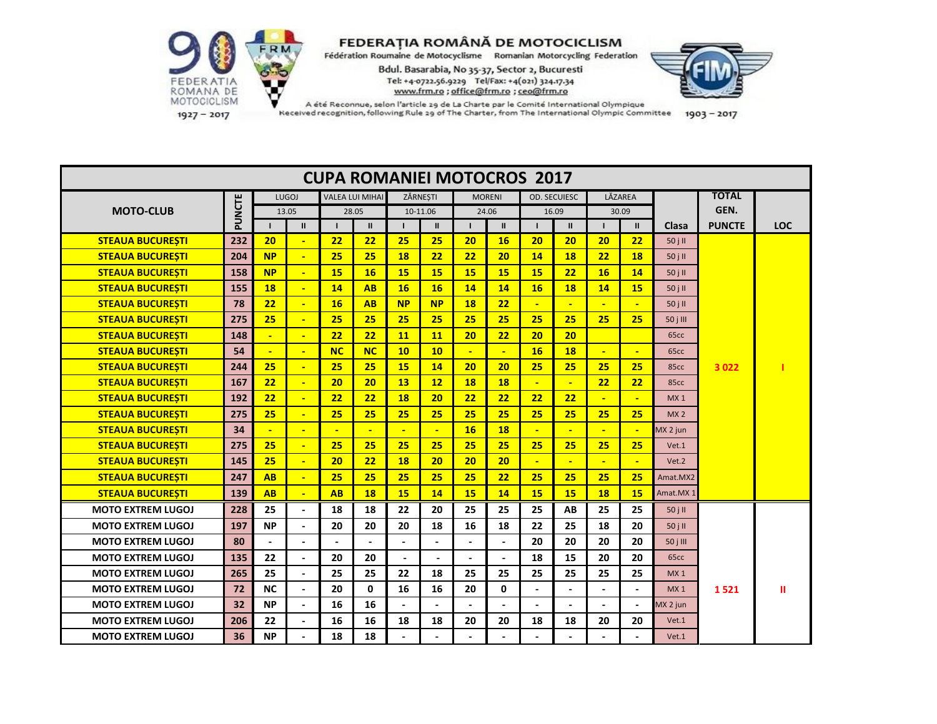

 $1927 - 2017$ 

|                          |        |                |                |                        |                |                | <b>CUPA ROMANIEI MOTOCROS 2017</b> |                |                |                |                     |                |                          |                  |               |            |
|--------------------------|--------|----------------|----------------|------------------------|----------------|----------------|------------------------------------|----------------|----------------|----------------|---------------------|----------------|--------------------------|------------------|---------------|------------|
|                          |        | <b>LUGOJ</b>   |                | <b>VALEA LUI MIHAI</b> |                |                | ZĂRNESTI                           |                | <b>MORENI</b>  |                | <b>OD. SECUIESC</b> |                | LĂZAREA                  |                  | <b>TOTAL</b>  |            |
| <b>MOTO-CLUB</b>         | PUNCTE |                | 13.05          |                        | 28.05          |                | 10-11.06                           |                | 24.06          | 16.09          |                     |                | 30.09                    |                  | GEN.          |            |
|                          |        | $\mathbf{I}$   | $\mathbf{II}$  | $\mathbf{I}$           | $\mathbf{II}$  |                | $\mathbf{II}$                      |                | $\mathbf{II}$  | $\mathbf{I}$   | $\mathbf{II}$       |                | $\mathbf{II}$            | Clasa            | <b>PUNCTE</b> | <b>LOC</b> |
| <b>STEAUA BUCURESTI</b>  | 232    | 20             | $\sim$         | 22                     | 22             | 25             | 25                                 | 20             | 16             | 20             | 20                  | 20             | 22                       | 50jH             |               |            |
| <b>STEAUA BUCURESTI</b>  | 204    | <b>NP</b>      | $\mathbf{u}$   | 25                     | 25             | 18             | 22                                 | 22             | 20             | 14             | 18                  | 22             | 18                       | 50 j II          |               |            |
| <b>STEAUA BUCURESTI</b>  | 158    | <b>NP</b>      | $\sim$         | 15                     | 16             | <b>15</b>      | <b>15</b>                          | 15             | 15             | 15             | 22                  | 16             | 14                       | 50jH             |               |            |
| <b>STEAUA BUCURESTI</b>  | 155    | 18             | $\mathbf{u}$   | 14                     | AB             | <b>16</b>      | <b>16</b>                          | 14             | 14             | 16             | 18                  | 14             | <b>15</b>                | 50 j II          |               |            |
| <b>STEAUA BUCURESTI</b>  | 78     | 22             | $\blacksquare$ | 16                     | <b>AB</b>      | <b>NP</b>      | <b>NP</b>                          | 18             | 22             | $\blacksquare$ | $\blacksquare$      | $\mathbf{r}$   | $\mathbf{u}$             | 50 j II          |               |            |
| <b>STEAUA BUCUREȘTI</b>  | 275    | 25             | $\mathbf{u}$   | 25                     | 25             | 25             | 25                                 | 25             | 25             | 25             | 25                  | 25             | 25                       | 50 j III         |               |            |
| <b>STEAUA BUCURESTI</b>  | 148    |                | $\blacksquare$ | 22                     | 22             | <b>11</b>      | <b>11</b>                          | 20             | 22             | 20             | 20                  |                |                          | 65 <sub>cc</sub> |               |            |
| <b>STEAUA BUCUREȘTI</b>  | 54     | $\blacksquare$ | $\sim$         | NC                     | <b>NC</b>      | 10             | 10                                 | $\blacksquare$ | $\mathbf{u}$   | <b>16</b>      | 18                  | $\mathbf{u}$   | $\blacksquare$           | 65cc             |               |            |
| <b>STEAUA BUCURESTI</b>  | 244    | 25             | ÷              | 25                     | 25             | 15             | 14                                 | 20             | 20             | 25             | 25                  | 25             | 25                       | 85cc             | 3 0 2 2       |            |
| <b>STEAUA BUCURESTI</b>  | 167    | 22             | $\sim$         | 20                     | 20             | 13             | 12                                 | 18             | <b>18</b>      | $\blacksquare$ | ٠                   | 22             | 22                       | 85cc             |               |            |
| <b>STEAUA BUCURESTI</b>  | 192    | 22             | $\mathbf{r}$   | 22                     | 22             | 18             | 20                                 | 22             | 22             | 22             | 22                  |                | ÷                        | MX <sub>1</sub>  |               |            |
| <b>STEAUA BUCURESTI</b>  | 275    | 25             | $\sim$         | 25                     | 25             | 25             | 25                                 | 25             | 25             | 25             | 25                  | 25             | 25                       | MX <sub>2</sub>  |               |            |
| <b>STEAUA BUCURESTI</b>  | 34     | $\blacksquare$ | $\blacksquare$ | $\blacksquare$         | $\blacksquare$ | $\blacksquare$ | $\blacksquare$                     | 16             | <b>18</b>      | $\blacksquare$ | $\blacksquare$      | $\mathbf{L}$   | $\blacksquare$           | MX 2 jun         |               |            |
| <b>STEAUA BUCURESTI</b>  | 275    | 25             | $\mathbf{u}$   | 25                     | 25             | 25             | 25                                 | 25             | 25             | 25             | 25                  | 25             | 25                       | Vet.1            |               |            |
| <b>STEAUA BUCURESTI</b>  | 145    | 25             | ÷.             | 20                     | 22             | 18             | 20                                 | 20             | 20             | $\blacksquare$ |                     |                | $\blacksquare$           | Vet.2            |               |            |
| <b>STEAUA BUCURESTI</b>  | 247    | AB             | $\mathbf{u}$   | 25                     | 25             | 25             | 25                                 | 25             | 22             | 25             | 25                  | 25             | 25                       | Amat.MX2         |               |            |
| <b>STEAUA BUCURESTI</b>  | 139    | <b>AB</b>      | $\mathbf{u}$   | <b>AB</b>              | 18             | 15             | 14                                 | 15             | 14             | 15             | 15                  | 18             | <b>15</b>                | Amat.MX 1        |               |            |
| <b>MOTO EXTREM LUGOJ</b> | 228    | 25             | $\blacksquare$ | 18                     | 18             | 22             | 20                                 | 25             | 25             | 25             | AB                  | 25             | 25                       | 50jH             |               |            |
| <b>MOTO EXTREM LUGOJ</b> | 197    | <b>NP</b>      | $\blacksquare$ | 20                     | 20             | 20             | 18                                 | 16             | 18             | 22             | 25                  | 18             | 20                       | 50 j II          |               |            |
| <b>MOTO EXTREM LUGOJ</b> | 80     |                | $\blacksquare$ |                        |                | $\blacksquare$ |                                    |                | $\blacksquare$ | 20             | 20                  | 20             | 20                       | 50 j III         |               |            |
| <b>MOTO EXTREM LUGOJ</b> | 135    | 22             | $\blacksquare$ | 20                     | 20             | $\blacksquare$ |                                    |                | $\blacksquare$ | 18             | 15                  | 20             | 20                       | 65cc             |               |            |
| <b>MOTO EXTREM LUGOJ</b> | 265    | 25             | $\blacksquare$ | 25                     | 25             | 22             | 18                                 | 25             | 25             | 25             | 25                  | 25             | 25                       | MX <sub>1</sub>  |               |            |
| <b>MOTO EXTREM LUGOJ</b> | 72     | <b>NC</b>      | $\sim$         | 20                     | $\mathbf{0}$   | 16             | 16                                 | 20             | 0              | $\overline{a}$ |                     | $\overline{a}$ | $\overline{\phantom{0}}$ | MX <sub>1</sub>  | 1521          | Ш          |
| <b>MOTO EXTREM LUGOJ</b> | 32     | <b>NP</b>      | $\blacksquare$ | 16                     | 16             |                |                                    |                |                |                |                     |                | $\blacksquare$           | MX 2 jun         |               |            |
| <b>MOTO EXTREM LUGOJ</b> | 206    | 22             | $\blacksquare$ | 16                     | 16             | 18             | 18                                 | 20             | 20             | 18             | 18                  | 20             | 20                       | Vet.1            |               |            |
| <b>MOTO EXTREM LUGOJ</b> | 36     | <b>NP</b>      |                | 18                     | 18             |                |                                    |                |                |                |                     |                |                          | Vet.1            |               |            |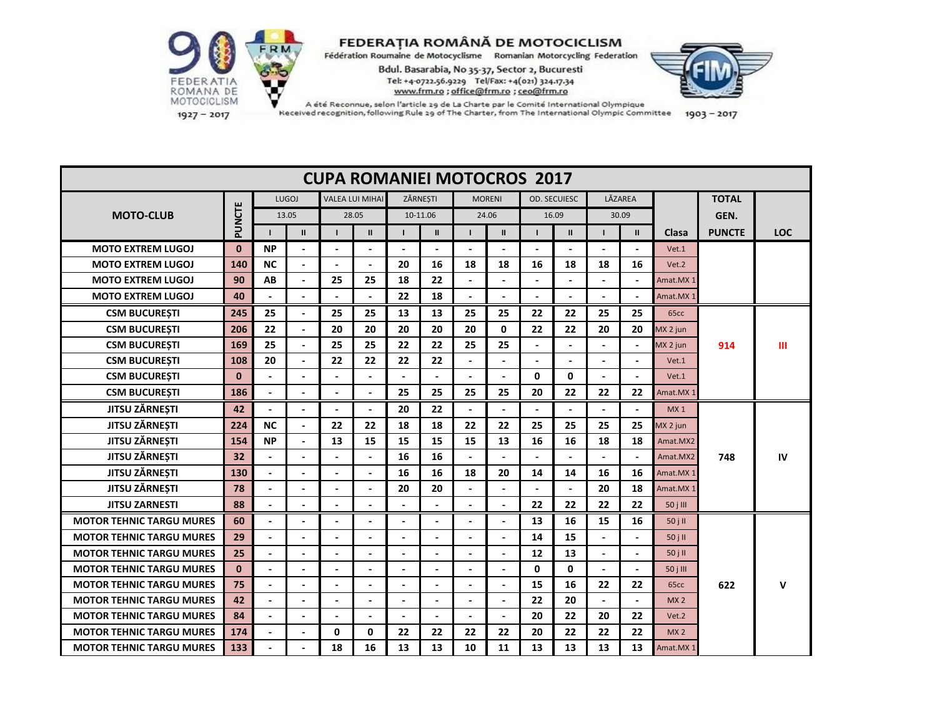

Received recognition, following Rule 29 of The Charter, from The International Olympic Committee

| $1903 - 2017$ |  |
|---------------|--|

**TOTAL GEN. I II I II I II I II I II I II Clasa PUNCTE LOC MOTO EXTREM LUGOJ 0 NP - - - - - - - - - - -** Vet.1 **MOTO EXTREM LUGOJ 140 NC - - - 20 16 18 18 16 18 18 16** Vet.2 **MOTO EXTREM LUGOJ 90 AB - 25 25 18 22 - - - - - -** Amat.MX 1 **MOTO EXTREM LUGOJ 40 - - - - 22 18 - - - - - -** Amat.MX 1 **CSM BUCUREȘTI 245 25 - 25 25 13 13 25 25 22 22 25 25** 65cc **CSM BUCUREȘTI 206 22 - 20 20 20 20 20 0 22 22 20 20** MX 2 jun **CSM BUCUREȘTI 169 25 - 25 25 22 22 25 25 - - - -** MX 2 jun **914 III CSM BUCUREȘTI 108 20 - 22 22 22 22 - - - - - -** Vet.1 **CSM BUCUREȘTI 0 - - - - - - - - 0 0 - -** Vet.1 **CSM BUCUREȘTI** | 186 | - | - | - | - | 25 | 25 | 25 | 20 | 22 | 22 | Amat.MX **JITSU ZĂRNEȘTI 42 - - - - 20 22 - - - - - -** MX 1 **JITSU ZĂRNEȘTI 224 NC - 22 22 18 18 22 22 25 25 25 25** MX 2 jun **JITSU ZĂRNEȘTI 154 NP - 13 15 15 15 15 13 16 16 18 18** Amat.MX2 **JITSU ZĂRNEȘTI 32 - - - - 16 16 - - - - - -** Amat.MX2 **748 IV JITSU ZĂRNEȘTI 130 - - - - 16 16 18 20 14 14 16 16** Amat.MX 1 **JITSU ZĂRNEȘTI 78 - - - - 20 20 - - - - 20 18** Amat.MX 1 **JITSU ZARNESTI 88 - - - - - - - - 22 22 22 22** 50 j III  **MOTOR TEHNIC TARGU MURES 60 - - - - - - - - 13 16 15 16** 50 j II  **MOTOR TEHNIC TARGU MURES 29 - - - - - - - - 14 15 - -** 50 j II  **MOTOR TEHNIC TARGU MURES 25 - - - - - - - - 12 13 - -** 50 j II  **MOTOR TEHNIC TARGU MURES 0 - - - - - - - - 0 0 - -** 50 j III  **MOTOR TEHNIC TARGU MURES 75 - - - - - - - - 15 16 22 22** 65cc **622 V MOTOR TEHNIC TARGU MURES 42 - - - - - - - - 22 20 - -** MX 2  **MOTOR TEHNIC TARGU MURES 84 - - - - - - - - 20 22 20 22** Vet.2  **MOTOR TEHNIC TARGU MURES 174 - - 0 0 22 22 22 22 20 22 22 22** MX 2  **MOTOR TEHNIC TARGU MURES 133 - - 18 16 13 13 10 11 13 13 13 13** Amat.MX 1  **CUPA ROMANIEI MOTOCROS 2017 MOTO-CLUB PUNCTE** LUGOJ VALEA LUI MIHAI ZĂRNEȘTI MORENI OD. SECUIESC LĂZAREA 13.05 28.05 10-11.06 24.06 16.09 30.09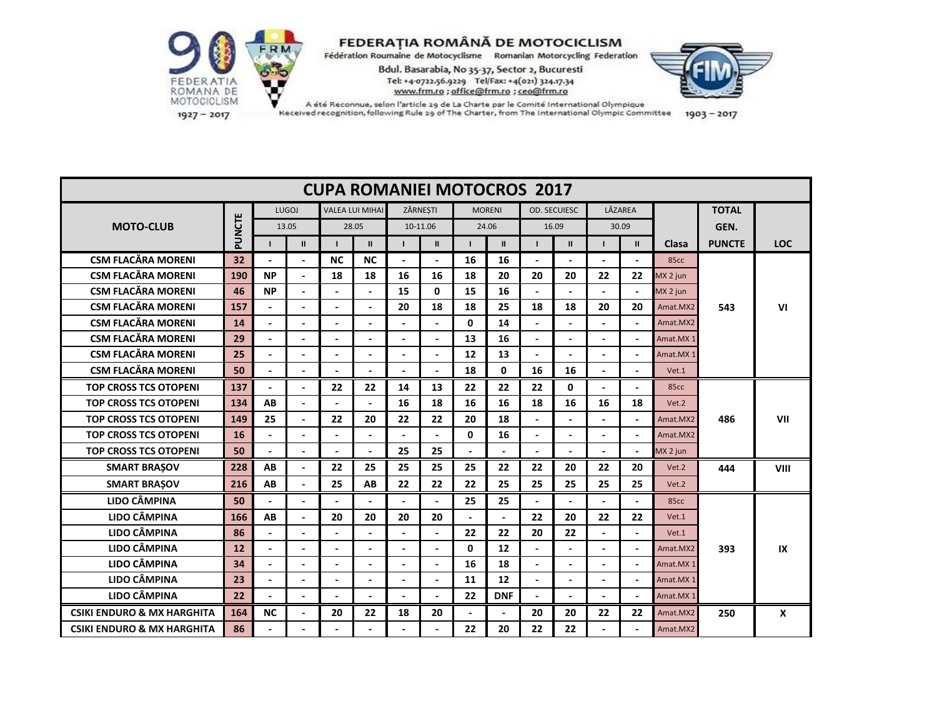

 $1927 - 2017$ 

| <b>CUPA ROMANIEI MOTOCROS 2017</b>    |        |                |                |                          |                          |                |                |                |                |                          |                |                |                          |                  |               |             |
|---------------------------------------|--------|----------------|----------------|--------------------------|--------------------------|----------------|----------------|----------------|----------------|--------------------------|----------------|----------------|--------------------------|------------------|---------------|-------------|
|                                       |        |                | <b>LUGOJ</b>   |                          | <b>VALEA LUI MIHAI</b>   |                | ZĂRNESTI       |                | <b>MORENI</b>  |                          | OD. SECUIESC   |                | LĂZAREA                  |                  | <b>TOTAL</b>  |             |
| <b>MOTO-CLUB</b>                      | PUNCTE | 13.05          |                |                          | 28.05                    |                | 10-11.06       |                | 24.06          |                          | 16.09          |                | 30.09                    |                  | GEN.          |             |
|                                       |        |                | $\mathbf{II}$  |                          | $\mathbf{II}$            |                | $\mathbf{II}$  |                | $\mathbf{II}$  |                          | $\mathbf{II}$  |                | $\mathbf{II}$            | Clasa            | <b>PUNCTE</b> | <b>LOC</b>  |
| <b>CSM FLACĂRA MORENI</b>             | 32     |                |                | <b>NC</b>                | <b>NC</b>                |                |                | 16             | 16             |                          |                |                |                          | 85 <sub>cc</sub> |               |             |
| <b>CSM FLACĂRA MORENI</b>             | 190    | <b>NP</b>      | $\Delta$       | 18                       | 18                       | 16             | 16             | 18             | 20             | 20                       | 20             | 22             | 22                       | MX 2 jun         |               |             |
| <b>CSM FLACĂRA MORENI</b>             | 46     | <b>NP</b>      | $\blacksquare$ |                          |                          | 15             | $\mathbf{0}$   | 15             | 16             |                          |                |                |                          | MX 2 jun         |               |             |
| <b>CSM FLACĂRA MORENI</b>             | 157    |                | $\blacksquare$ | L.                       |                          | 20             | 18             | 18             | 25             | 18                       | 18             | 20             | 20                       | Amat.MX2         | 543           | VI          |
| <b>CSM FLACĂRA MORENI</b>             | 14     |                |                |                          |                          |                |                | $\mathbf{0}$   | 14             |                          |                |                |                          | Amat.MX2         |               |             |
| <b>CSM FLACĂRA MORENI</b>             | 29     |                | $\overline{a}$ | Ĭ.                       |                          | $\blacksquare$ | $\overline{a}$ | 13             | 16             | $\overline{a}$           |                | $\blacksquare$ | $\sim$                   | Amat.MX 1        |               |             |
| <b>CSM FLACĂRA MORENI</b>             | 25     |                |                |                          |                          |                |                | 12             | 13             |                          |                |                |                          | Amat.MX1         |               |             |
| <b>CSM FLACĂRA MORENI</b>             | 50     |                | $\blacksquare$ |                          |                          | $\overline{a}$ |                | 18             | 0              | 16                       | 16             |                |                          | Vet.1            |               |             |
| <b>TOP CROSS TCS OTOPENI</b>          | 137    |                | $\overline{a}$ | 22                       | 22                       | 14             | 13             | 22             | 22             | 22                       | 0              |                |                          | 85cc             |               |             |
| <b>TOP CROSS TCS OTOPENI</b>          | 134    | AB             | $\blacksquare$ |                          |                          | 16             | 18             | 16             | 16             | 18                       | 16             | 16             | 18                       | Vet.2            |               |             |
| <b>TOP CROSS TCS OTOPENI</b>          | 149    | 25             | $\blacksquare$ | 22                       | 20                       | 22             | 22             | 20             | 18             |                          | $\blacksquare$ | $\blacksquare$ |                          | Amat.MX2         | 486           | VII         |
| <b>TOP CROSS TCS OTOPENI</b>          | 16     |                | $\blacksquare$ |                          |                          | $\blacksquare$ |                | $\mathbf{0}$   | 16             |                          |                |                |                          | Amat, MX2        |               |             |
| <b>TOP CROSS TCS OTOPENI</b>          | 50     | $\blacksquare$ | $\blacksquare$ | ÷.                       | $\blacksquare$           | 25             | 25             | $\blacksquare$ | $\overline{a}$ | $\overline{\phantom{a}}$ | $\blacksquare$ | $\blacksquare$ | $\blacksquare$           | MX 2 jun         |               |             |
| <b>SMART BRAŞOV</b>                   | 228    | AB             | $\overline{a}$ | 22                       | 25                       | 25             | 25             | 25             | 22             | 22                       | 20             | 22             | 20                       | Vet.2            | 444           | <b>VIII</b> |
| <b>SMART BRAŞOV</b>                   | 216    | AB             | $\blacksquare$ | 25                       | AB                       | 22             | 22             | 22             | 25             | 25                       | 25             | 25             | 25                       | Vet.2            |               |             |
| LIDO CÂMPINA                          | 50     |                | $\blacksquare$ |                          |                          | $\blacksquare$ |                | 25             | 25             |                          |                | $\blacksquare$ |                          | 85cc             |               |             |
| <b>LIDO CÂMPINA</b>                   | 166    | AB             | $\overline{a}$ | 20                       | 20                       | 20             | 20             |                | $\mathbf{r}$   | 22                       | 20             | 22             | 22                       | Vet.1            |               |             |
| LIDO CÂMPINA                          | 86     | $\blacksquare$ | $\blacksquare$ | $\overline{\phantom{0}}$ | $\blacksquare$           | $\blacksquare$ | $\blacksquare$ | 22             | 22             | 20                       | 22             | $\blacksquare$ | $\blacksquare$           | Vet.1            |               |             |
| <b>LIDO CÂMPINA</b>                   | 12     |                | $\overline{a}$ |                          |                          | $\overline{a}$ |                | $\mathbf{0}$   | 12             |                          |                |                |                          | Amat.MX2         | 393           | IX          |
| LIDO CÂMPINA                          | 34     | $\blacksquare$ | $\blacksquare$ |                          | $\overline{\phantom{a}}$ | $\blacksquare$ |                | 16             | 18             |                          | $\blacksquare$ |                | $\overline{\phantom{a}}$ | Amat.MX 1        |               |             |
| <b>LIDO CÂMPINA</b>                   | 23     | $\overline{a}$ |                |                          | $\overline{a}$           | $\overline{a}$ |                | 11             | 12             |                          | $\blacksquare$ |                | $\overline{a}$           | Amat.MX 1        |               |             |
| <b>LIDO CÂMPINA</b>                   | 22     | $\blacksquare$ | $\blacksquare$ | $\blacksquare$           | $\blacksquare$           | $\blacksquare$ | $\blacksquare$ | 22             | <b>DNF</b>     | $\overline{\phantom{a}}$ | $\blacksquare$ | $\blacksquare$ | $\blacksquare$           | Amat.MX 1        |               |             |
| <b>CSIKI ENDURO &amp; MX HARGHITA</b> | 164    | <b>NC</b>      | $\blacksquare$ | 20                       | 22                       | 18             | 20             |                |                | 20                       | 20             | 22             | 22                       | Amat.MX2         | 250           | X           |
| <b>CSIKI ENDURO &amp; MX HARGHITA</b> | 86     |                | $\blacksquare$ |                          |                          |                |                | 22             | 20             | 22                       | 22             |                | $\blacksquare$           | Amat.MX2         |               |             |